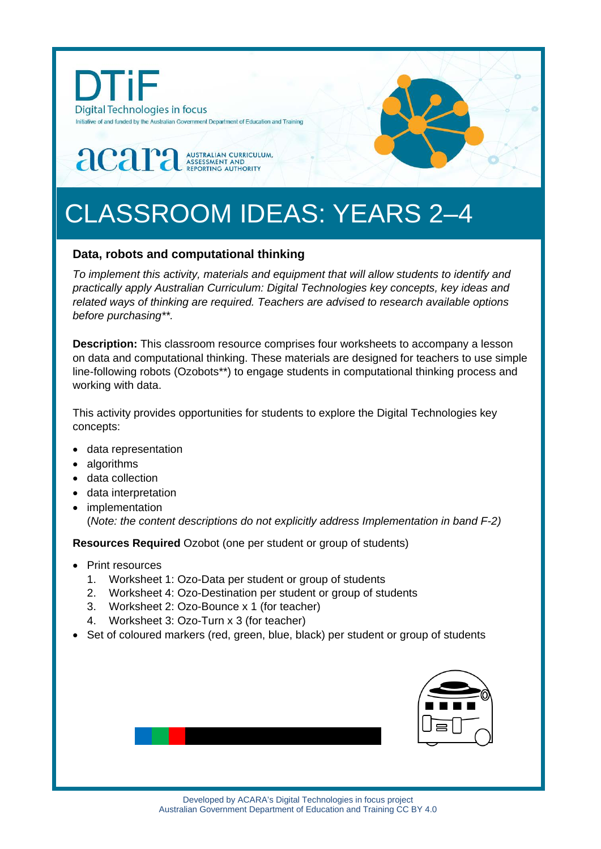

# CLASSROOM IDEAS: YEARS 2–4

# **Data, robots and computational thinking**

*To implement this activity, materials and equipment that will allow students to identify and practically apply Australian Curriculum: Digital Technologies key concepts, key ideas and related ways of thinking are required. Teachers are advised to research available options before purchasing\*\*.* 

**Description:** This classroom resource comprises four worksheets to accompany a lesson on data and computational thinking. These materials are designed for teachers to use simple line-following robots (Ozobots\*\*) to engage students in computational thinking process and working with data.

This activity provides opportunities for students to explore the Digital Technologies key concepts:

- data representation
- algorithms
- data collection
- data interpretation
- implementation (*Note: the content descriptions do not explicitly address Implementation in band F-2)*

**Resources Required** Ozobot (one per student or group of students)

- Print resources
	- 1. Worksheet 1: Ozo-Data per student or group of students
	- 2. Worksheet 4: Ozo-Destination per student or group of students
	- 3. Worksheet 2: Ozo-Bounce x 1 (for teacher)
	- 4. Worksheet 3: Ozo-Turn x 3 (for teacher)
- Set of coloured markers (red, green, blue, black) per student or group of students

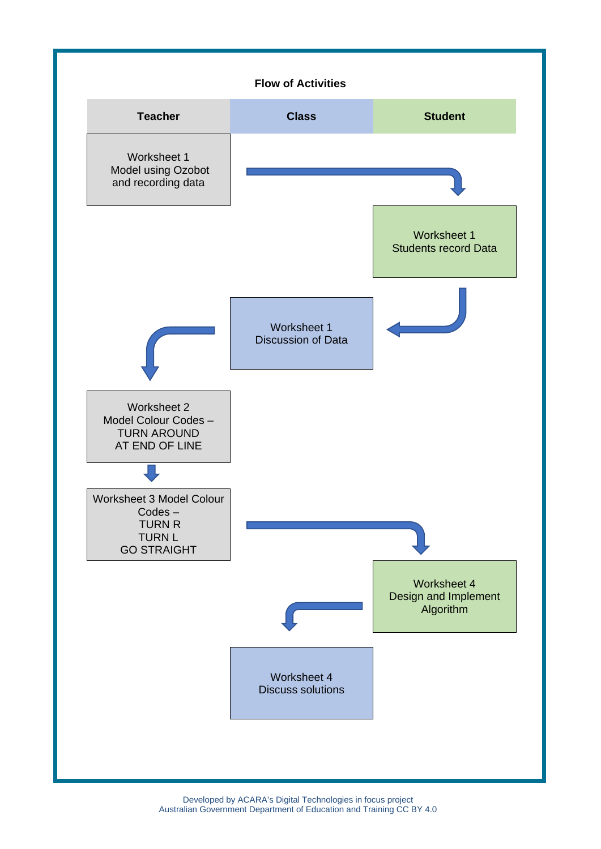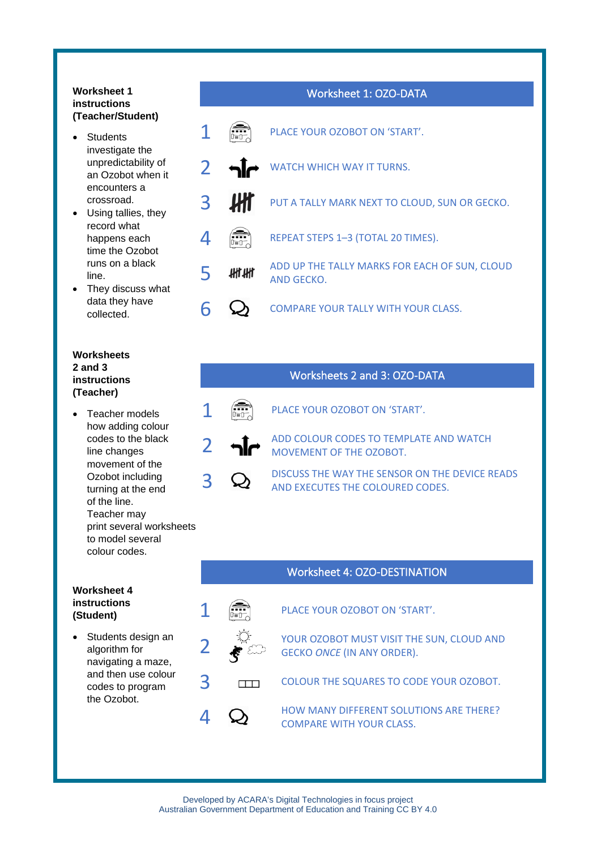#### **Worksheet 1 instructions (Teacher/Student)**

- Students investigate the unpredictability of an Ozobot when it encounters a crossroad.
- Using tallies, they record what happens each time the Ozobot runs on a black line.
- They discuss what data they have collected.

#### **Worksheets 2 and 3 instructions (Teacher)**

Teacher models how adding colour codes to the black line changes movement of the Ozobot including turning at the end of the line. Teacher may print several worksheets to model several colour codes.

#### **Worksheet 4 instructions (Student)**

Students design an algorithm for navigating a maze, and then use colour codes to program the Ozobot.

# Worksheet 1: OZO-DATA **1 EXAMPLE ACC** YOUR OZOBOT ON 'START'. 2 M WATCH WHICH WAY IT TURNS. **3** PUT A TALLY MARK NEXT TO CLOUD, SUN OR GECKO.  $\overrightarrow{4}$   $\overrightarrow{R}$  REPEAT STEPS 1–3 (TOTAL 20 TIMES). **5 ADD UP THE TALLY MARKS FOR EACH OF SUN, CLOUD** AND GECKO. 6  $\bigcirc$  COMPARE YOUR TALLY WITH YOUR CLASS.

# Worksheets 2 and 3: OZO-DATA

# $\int_{\mathbb{R}}$  PLACE YOUR OZOBOT ON 'START'.



DISCUSS THE WAY THE SENSOR ON THE DEVICE READS AND EXECUTES THE COLOURED CODES.

#### Worksheet 4: OZO-DESTINATION



 $\left| \begin{matrix} \bullet & \bullet \\ \bullet & \bullet \end{matrix} \right|$  PLACE YOUR OZOBOT ON 'START'.

**2**  $\mathbb{R}^k$  YOUR OZOBOT MUST VISIT THE SUN, CLOUD AND  $\mathbb{R}^k$ GECKO *ONCE* (IN ANY ORDER).

**3** COLOUR THE SQUARES TO CODE YOUR OZOBOT.

**1 CO** HOW MANY DIFFERENT SOLUTIONS ARE THERE? COMPARE WITH YOUR CLASS.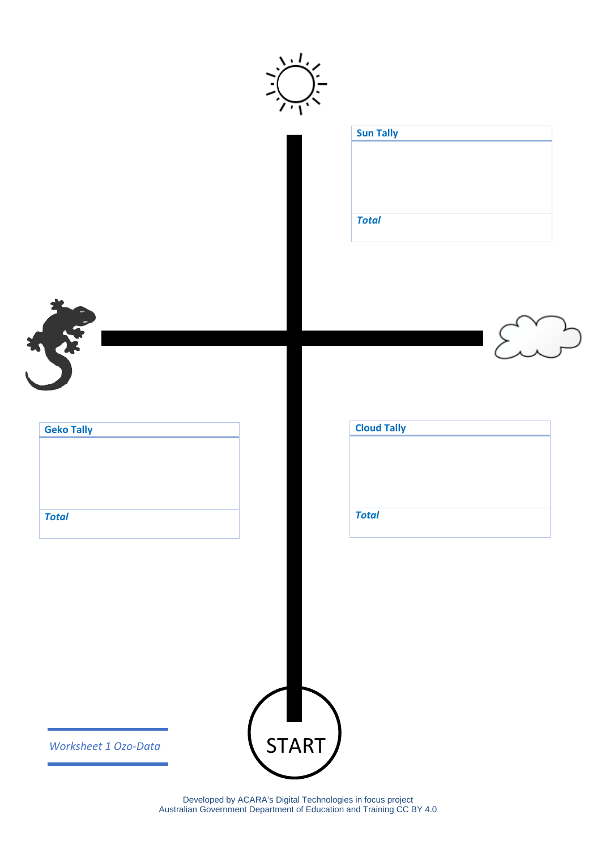|                   | <b>Sun Tally</b>   |
|-------------------|--------------------|
|                   | <b>Total</b>       |
|                   |                    |
| RE                |                    |
| <b>Geko Tally</b> | <b>Cloud Tally</b> |
| <b>Total</b>      | <b>Total</b>       |
|                   |                    |
|                   |                    |
|                   |                    |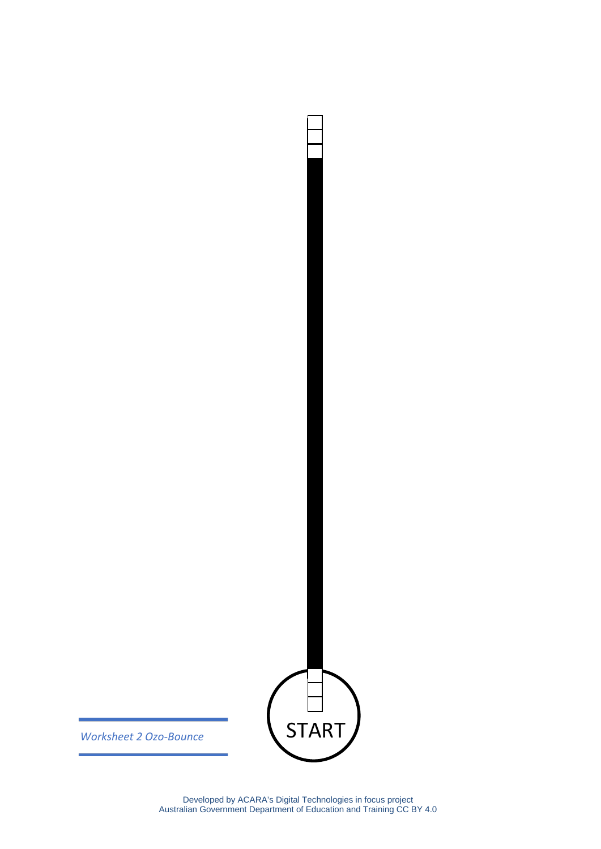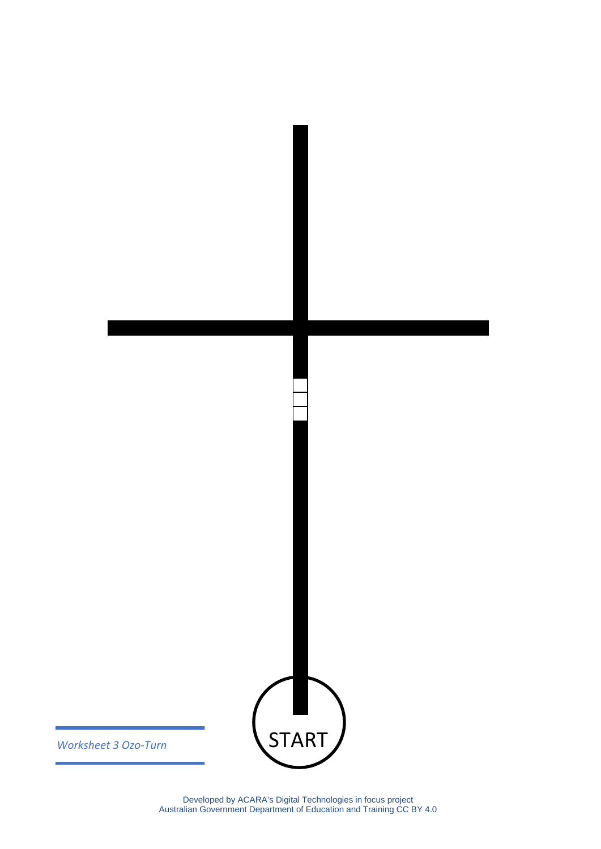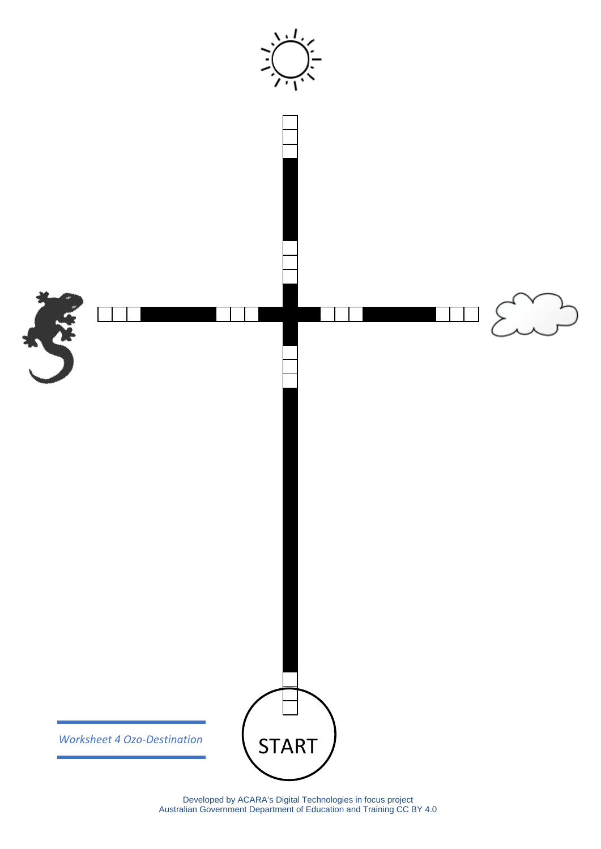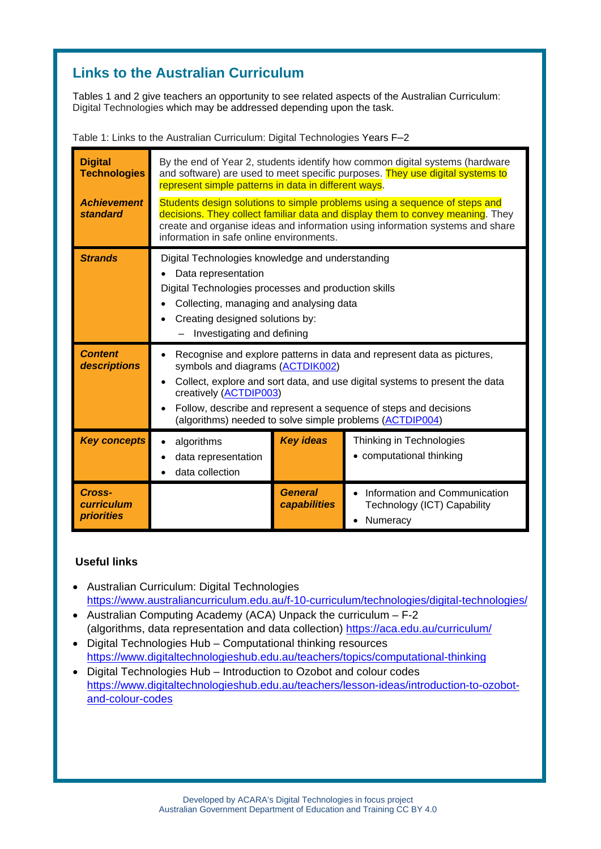# **Links to the Australian Curriculum**

Tables 1 and 2 give teachers an opportunity to see related aspects of the Australian Curriculum: Digital Technologies which may be addressed depending upon the task.

| <b>Digital</b><br><b>Technologies</b><br><b>Achievement</b><br>standard | By the end of Year 2, students identify how common digital systems (hardware<br>and software) are used to meet specific purposes. They use digital systems to<br>represent simple patterns in data in different ways.<br>Students design solutions to simple problems using a sequence of steps and<br>decisions. They collect familiar data and display them to convey meaning. They<br>create and organise ideas and information using information systems and share<br>information in safe online environments. |                                |                                                                          |  |
|-------------------------------------------------------------------------|--------------------------------------------------------------------------------------------------------------------------------------------------------------------------------------------------------------------------------------------------------------------------------------------------------------------------------------------------------------------------------------------------------------------------------------------------------------------------------------------------------------------|--------------------------------|--------------------------------------------------------------------------|--|
| <b>Strands</b>                                                          | Digital Technologies knowledge and understanding<br>Data representation<br>Digital Technologies processes and production skills<br>Collecting, managing and analysing data<br>Creating designed solutions by:<br>Investigating and defining                                                                                                                                                                                                                                                                        |                                |                                                                          |  |
| <b>Content</b><br>descriptions                                          | Recognise and explore patterns in data and represent data as pictures,<br>symbols and diagrams (ACTDIK002)<br>Collect, explore and sort data, and use digital systems to present the data<br>creatively (ACTDIP003)<br>Follow, describe and represent a sequence of steps and decisions<br>(algorithms) needed to solve simple problems (ACTDIP004)                                                                                                                                                                |                                |                                                                          |  |
| <b>Key concepts</b>                                                     | algorithms<br>data representation<br>data collection                                                                                                                                                                                                                                                                                                                                                                                                                                                               | <b>Key ideas</b>               | Thinking in Technologies<br>• computational thinking                     |  |
| Cross-<br>curriculum<br><b>priorities</b>                               |                                                                                                                                                                                                                                                                                                                                                                                                                                                                                                                    | <b>General</b><br>capabilities | Information and Communication<br>Technology (ICT) Capability<br>Numeracy |  |

Table 1: Links to the Australian Curriculum: Digital Technologies Years F–2

### **Useful links**

- Australian Curriculum: Digital Technologies <https://www.australiancurriculum.edu.au/f-10-curriculum/technologies/digital-technologies/>
- Australian Computing Academy (ACA) Unpack the curriculum F-2 (algorithms, data representation and data collection)<https://aca.edu.au/curriculum/>
- Digital Technologies Hub Computational thinking resources <https://www.digitaltechnologieshub.edu.au/teachers/topics/computational-thinking>
- Digital Technologies Hub Introduction to Ozobot and colour codes [https://www.digitaltechnologieshub.edu.au/teachers/lesson-ideas/introduction-to-ozobot](https://www.digitaltechnologieshub.edu.au/teachers/lesson-ideas/introduction-to-ozobot-and-colour-codes)[and-colour-codes](https://www.digitaltechnologieshub.edu.au/teachers/lesson-ideas/introduction-to-ozobot-and-colour-codes)